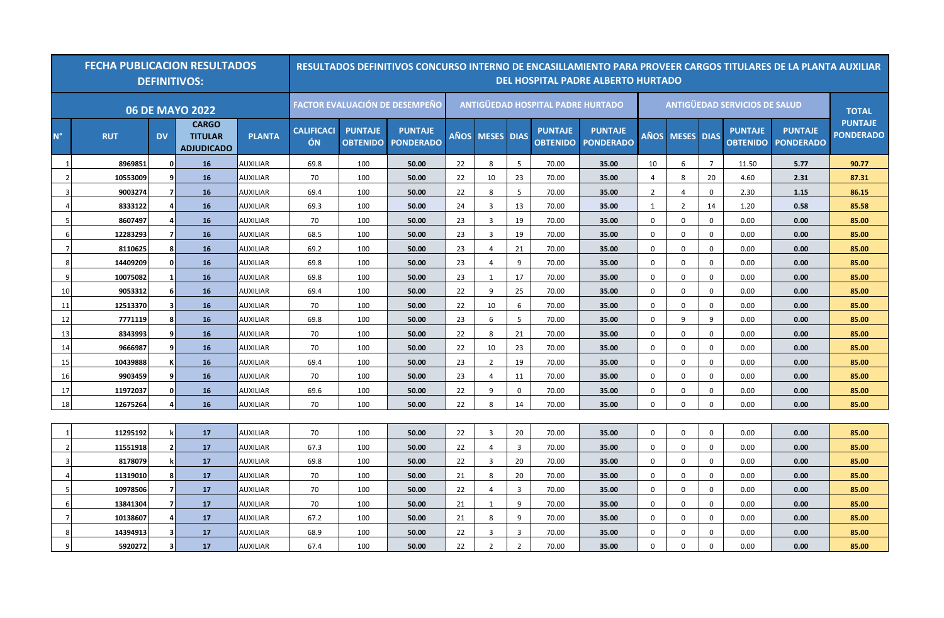|                          | <b>FECHA PUBLICACION RESULTADOS</b> |                | <b>DEFINITIVOS:</b>                                 | RESULTADOS DEFINITIVOS CONCURSO INTERNO DE ENCASILLAMIENTO PARA PROVEER CARGOS TITULARES DE LA PLANTA AUXILIAR<br><b>DEL HOSPITAL PADRE ALBERTO HURTADO</b> |                                       |                                   |                                    |             |                                          |                |                                      |                                    |                |                   |                |                                   |                                    |                                    |
|--------------------------|-------------------------------------|----------------|-----------------------------------------------------|-------------------------------------------------------------------------------------------------------------------------------------------------------------|---------------------------------------|-----------------------------------|------------------------------------|-------------|------------------------------------------|----------------|--------------------------------------|------------------------------------|----------------|-------------------|----------------|-----------------------------------|------------------------------------|------------------------------------|
|                          |                                     |                | <b>06 DE MAYO 2022</b>                              |                                                                                                                                                             | <b>FACTOR EVALUACIÓN DE DESEMPEÑO</b> |                                   |                                    |             | <b>ANTIGÜEDAD HOSPITAL PADRE HURTADO</b> |                | <b>ANTIGÜEDAD SERVICIOS DE SALUD</b> | <b>TOTAL</b>                       |                |                   |                |                                   |                                    |                                    |
| $N^{\circ}$              | <b>RUT</b>                          | <b>DV</b>      | <b>CARGO</b><br><b>TITULAR</b><br><b>ADJUDICADO</b> | <b>PLANTA</b>                                                                                                                                               | <b>CALIFICACI</b><br>ÓN               | <b>PUNTAJE</b><br><b>OBTENIDO</b> | <b>PUNTAJE</b><br><b>PONDERADO</b> | <b>AÑOS</b> | <b>MESES DIAS</b>                        |                | <b>PUNTAJE</b><br><b>OBTENIDO</b>    | <b>PUNTAJE</b><br><b>PONDERADO</b> | <b>AÑOS</b>    | <b>MESES DIAS</b> |                | <b>PUNTAJE</b><br><b>OBTENIDO</b> | <b>PUNTAJE</b><br><b>PONDERADO</b> | <b>PUNTAJE</b><br><b>PONDERADO</b> |
| $\mathbf{1}$             | 8969851                             | 0              | 16                                                  | <b>AUXILIAR</b>                                                                                                                                             | 69.8                                  | 100                               | 50.00                              | 22          | 8                                        | 5              | 70.00                                | 35.00                              | 10             | 6                 | $\overline{7}$ | 11.50                             | 5.77                               | 90.77                              |
| $\overline{\phantom{a}}$ | 10553009                            | 9              | 16                                                  | <b>AUXILIAR</b>                                                                                                                                             | 70                                    | 100                               | 50.00                              | 22          | 10                                       | 23             | 70.00                                | 35.00                              | 4              | 8                 | 20             | 4.60                              | 2.31                               | 87.31                              |
|                          | 9003274                             |                | 16                                                  | <b>AUXILIAR</b>                                                                                                                                             | 69.4                                  | 100                               | 50.00                              | 22          | 8                                        | 5              | 70.00                                | 35.00                              | $\overline{2}$ | $\overline{4}$    | $\mathbf 0$    | 2.30                              | 1.15                               | 86.15                              |
|                          | 8333122                             | 4              | 16                                                  | <b>AUXILIAR</b>                                                                                                                                             | 69.3                                  | 100                               | 50.00                              | 24          | $\overline{3}$                           | 13             | 70.00                                | 35.00                              | 1              | $\overline{2}$    | 14             | 1.20                              | 0.58                               | 85.58                              |
|                          | 8607497                             | 4              | 16                                                  | <b>AUXILIAR</b>                                                                                                                                             | 70                                    | 100                               | 50.00                              | 23          | 3                                        | 19             | 70.00                                | 35.00                              | 0              | 0                 | 0              | 0.00                              | 0.00                               | 85.00                              |
| -6                       | 12283293                            | $\overline{ }$ | 16                                                  | <b>AUXILIAR</b>                                                                                                                                             | 68.5                                  | 100                               | 50.00                              | 23          | $\overline{3}$                           | 19             | 70.00                                | 35.00                              | $\mathbf{0}$   | 0                 | $\mathbf 0$    | 0.00                              | 0.00                               | 85.00                              |
|                          | 8110625                             | 8              | 16                                                  | <b>AUXILIAR</b>                                                                                                                                             | 69.2                                  | 100                               | 50.00                              | 23          | 4                                        | 21             | 70.00                                | 35.00                              | $\mathbf 0$    | $\Omega$          | $\mathbf 0$    | 0.00                              | 0.00                               | 85.00                              |
| -8                       | 14409209                            | 0              | 16                                                  | <b>AUXILIAR</b>                                                                                                                                             | 69.8                                  | 100                               | 50.00                              | 23          | 4                                        | 9              | 70.00                                | 35.00                              | $\Omega$       | $\Omega$          | $\mathbf 0$    | 0.00                              | 0.00                               | 85.00                              |
| q                        | 10075082                            |                | 16                                                  | <b>AUXILIAR</b>                                                                                                                                             | 69.8                                  | 100                               | 50.00                              | 23          | 1                                        | 17             | 70.00                                | 35.00                              | $\mathbf 0$    | $\Omega$          | $\mathbf 0$    | 0.00                              | 0.00                               | 85.00                              |
| 10                       | 9053312                             | 6              | 16                                                  | <b>AUXILIAR</b>                                                                                                                                             | 69.4                                  | 100                               | 50.00                              | 22          | 9                                        | 25             | 70.00                                | 35.00                              | $\mathbf 0$    | $\mathbf 0$       | $\mathbf 0$    | 0.00                              | 0.00                               | 85.00                              |
| -11                      | 12513370                            | 3              | 16                                                  | <b>AUXILIAR</b>                                                                                                                                             | 70                                    | 100                               | 50.00                              | 22          | 10                                       | 6              | 70.00                                | 35.00                              | $\mathbf 0$    | $\mathbf 0$       | $\mathbf 0$    | 0.00                              | 0.00                               | 85.00                              |
| 12                       | 7771119                             | 8              | 16                                                  | <b>AUXILIAR</b>                                                                                                                                             | 69.8                                  | 100                               | 50.00                              | 23          | 6                                        | 5              | 70.00                                | 35.00                              | $\mathbf 0$    | 9                 | 9              | 0.00                              | 0.00                               | 85.00                              |
| 13                       | 8343993                             | ٩              | 16                                                  | <b>AUXILIAR</b>                                                                                                                                             | 70                                    | 100                               | 50.00                              | 22          | 8                                        | 21             | 70.00                                | 35.00                              | $\mathbf{0}$   | $\mathbf 0$       | $\mathbf 0$    | 0.00                              | 0.00                               | 85.00                              |
| 14                       | 9666987                             | q              | 16                                                  | <b>AUXILIAR</b>                                                                                                                                             | 70                                    | 100                               | 50.00                              | 22          | 10                                       | 23             | 70.00                                | 35.00                              | $\mathbf 0$    | $\mathbf 0$       | 0              | 0.00                              | 0.00                               | 85.00                              |
| 15                       | 10439888                            |                | 16                                                  | AUXILIAR                                                                                                                                                    | 69.4                                  | 100                               | 50.00                              | 23          | $\overline{2}$                           | 19             | 70.00                                | 35.00                              | $\mathbf{0}$   | 0                 | $\mathbf 0$    | 0.00                              | 0.00                               | 85.00                              |
| 16                       | 9903459                             | ٩              | 16                                                  | <b>AUXILIAR</b>                                                                                                                                             | 70                                    | 100                               | 50.00                              | 23          | 4                                        | 11             | 70.00                                | 35.00                              | 0              | $\Omega$          | 0              | 0.00                              | 0.00                               | 85.00                              |
| 17                       | 11972037                            | 0              | 16                                                  | <b>AUXILIAR</b>                                                                                                                                             | 69.6                                  | 100                               | 50.00                              | 22          | 9                                        | $\mathbf 0$    | 70.00                                | 35.00                              | $\Omega$       | $\mathbf 0$       | $\mathbf 0$    | 0.00                              | 0.00                               | 85.00                              |
| 18                       | 12675264                            |                | 16                                                  | <b>AUXILIAR</b>                                                                                                                                             | 70                                    | 100                               | 50.00                              | 22          | 8                                        | 14             | 70.00                                | 35.00                              | $\Omega$       | $\Omega$          | $\mathbf 0$    | 0.00                              | 0.00                               | 85.00                              |
|                          |                                     |                |                                                     |                                                                                                                                                             |                                       |                                   |                                    |             |                                          |                |                                      |                                    |                |                   |                |                                   |                                    |                                    |
|                          | 11295192                            |                | 17                                                  | <b>AUXILIAR</b>                                                                                                                                             | 70                                    | 100                               | 50.00                              | 22          | 3                                        | 20             | 70.00                                | 35.00                              | $\mathbf{0}$   | $\mathbf 0$       | 0              | 0.00                              | 0.00                               | 85.00                              |
|                          | 11551918                            | $\overline{2}$ | 17                                                  | <b>AUXILIAR</b>                                                                                                                                             | 67.3                                  | 100                               | 50.00                              | 22          | $\overline{4}$                           | 3              | 70.00                                | 35.00                              | $\mathbf 0$    | $\Omega$          | $\mathbf 0$    | 0.00                              | 0.00                               | 85.00                              |
| $\overline{3}$           | 8178079                             |                | 17                                                  | <b>AUXILIAR</b>                                                                                                                                             | 69.8                                  | 100                               | 50.00                              | 22          | $\overline{3}$                           | 20             | 70.00                                | 35.00                              | $\mathbf{0}$   | $\mathbf 0$       | $\mathbf 0$    | 0.00                              | 0.00                               | 85.00                              |
|                          | 11319010                            | 8              | 17                                                  | <b>AUXILIAR</b>                                                                                                                                             | 70                                    | 100                               | 50.00                              | 21          | 8                                        | 20             | 70.00                                | 35.00                              | 0              | 0                 | 0              | 0.00                              | 0.00                               | 85.00                              |
| -5                       | 10978506                            | 7              | 17                                                  | <b>AUXILIAR</b>                                                                                                                                             | 70                                    | 100                               | 50.00                              | 22          | 4                                        | $\overline{3}$ | 70.00                                | 35.00                              | $\mathbf 0$    | $\mathbf 0$       | 0              | 0.00                              | 0.00                               | 85.00                              |
| -6                       | 13841304                            |                | 17                                                  | <b>AUXILIAR</b>                                                                                                                                             | 70                                    | 100                               | 50.00                              | 21          | 1                                        | 9              | 70.00                                | 35.00                              | $\mathbf 0$    | $\mathbf 0$       | $\mathbf{0}$   | 0.00                              | 0.00                               | 85.00                              |
| - 7                      | 10138607                            | 4              | 17                                                  | <b>AUXILIAR</b>                                                                                                                                             | 67.2                                  | 100                               | 50.00                              | 21          | 8                                        | 9              | 70.00                                | 35.00                              | 0              | $\mathbf{0}$      | $\mathbf 0$    | 0.00                              | 0.00                               | 85.00                              |
| -8                       | 14394913                            | 3              | 17                                                  | <b>AUXILIAR</b>                                                                                                                                             | 68.9                                  | 100                               | 50.00                              | 22          | 3                                        | $\overline{3}$ | 70.00                                | 35.00                              | $\Omega$       | $\Omega$          | $\mathbf 0$    | 0.00                              | 0.00                               | 85.00                              |
|                          | 5920272                             | 3              | 17                                                  | <b>AUXILIAR</b>                                                                                                                                             | 67.4                                  | 100                               | 50.00                              | 22          | $\overline{2}$                           | $\overline{2}$ | 70.00                                | 35.00                              | $\mathbf 0$    | $\Omega$          | $\mathbf 0$    | 0.00                              | 0.00                               | 85.00                              |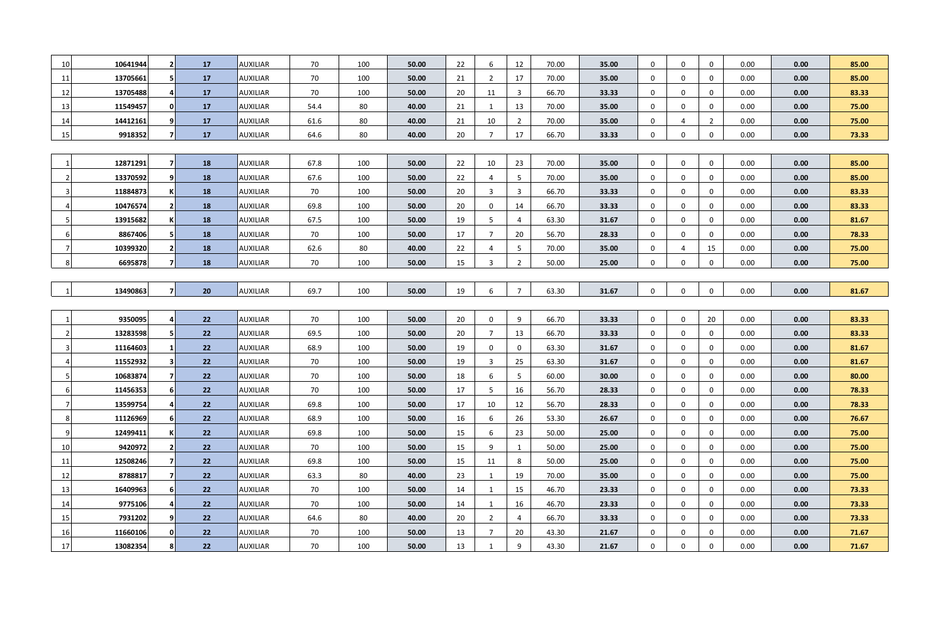| 10             | 10641944 | 2 <sub>l</sub>           |    | <b>AUXILIAR</b> | 70   | 100 | 50.00 | 22 | 6              | 12             | 70.00 | 35.00 | $\mathbf 0$ | 0           | $\mathbf 0$    | 0.00 | 0.00 | 85.00 |
|----------------|----------|--------------------------|----|-----------------|------|-----|-------|----|----------------|----------------|-------|-------|-------------|-------------|----------------|------|------|-------|
|                |          |                          | 17 |                 |      |     |       |    |                |                |       |       |             |             |                |      |      |       |
| 11             | 13705661 | 5 <sup>1</sup>           | 17 | <b>AUXILIAR</b> | 70   | 100 | 50.00 | 21 | $\overline{2}$ | 17             | 70.00 | 35.00 | $\mathbf 0$ | $\mathbf 0$ | $\mathbf 0$    | 0.00 | 0.00 | 85.00 |
| 12             | 13705488 | 4                        | 17 | <b>AUXILIAR</b> | 70   | 100 | 50.00 | 20 | 11             | 3              | 66.70 | 33.33 | $\mathbf 0$ | 0           | $\mathbf 0$    | 0.00 | 0.00 | 83.33 |
| 13             | 11549457 | $\mathbf{0}$             | 17 | <b>AUXILIAR</b> | 54.4 | 80  | 40.00 | 21 | 1              | 13             | 70.00 | 35.00 | $\mathbf 0$ | 0           | $\mathbf 0$    | 0.00 | 0.00 | 75.00 |
| 14             | 14412161 | 9                        | 17 | <b>AUXILIAR</b> | 61.6 | 80  | 40.00 | 21 | 10             | $\overline{2}$ | 70.00 | 35.00 | $\mathbf 0$ | 4           | $\overline{2}$ | 0.00 | 0.00 | 75.00 |
| 15             | 9918352  | $\mathbf{z}$             | 17 | <b>AUXILIAR</b> | 64.6 | 80  | 40.00 | 20 | $\overline{7}$ | 17             | 66.70 | 33.33 | $\mathbf 0$ | $\mathbf 0$ | $\mathbf{0}$   | 0.00 | 0.00 | 73.33 |
|                |          |                          |    |                 |      |     |       |    |                |                |       |       |             |             |                |      |      |       |
|                | 12871291 | $\overline{\phantom{a}}$ | 18 | <b>AUXILIAR</b> | 67.8 | 100 | 50.00 | 22 | 10             | 23             | 70.00 | 35.00 | $\mathbf 0$ | $\mathbf 0$ | $\mathbf 0$    | 0.00 | 0.00 | 85.00 |
| -2             | 13370592 | 9                        | 18 | <b>AUXILIAR</b> | 67.6 | 100 | 50.00 | 22 | $\overline{4}$ | 5              | 70.00 | 35.00 | $\mathbf 0$ | $\mathbf 0$ | $\mathbf 0$    | 0.00 | 0.00 | 85.00 |
| 3              | 11884873 |                          | 18 | <b>AUXILIAR</b> | 70   | 100 | 50.00 | 20 | $\overline{3}$ | $\overline{3}$ | 66.70 | 33.33 | $\mathbf 0$ | 0           | $\mathbf 0$    | 0.00 | 0.00 | 83.33 |
| 4              | 10476574 | $\mathbf{2}$             | 18 | AUXILIAR        | 69.8 | 100 | 50.00 | 20 | $\mathbf 0$    | 14             | 66.70 | 33.33 | $\mathbf 0$ | $\mathbf 0$ | $\mathbf 0$    | 0.00 | 0.00 | 83.33 |
| 5              | 13915682 |                          | 18 | <b>AUXILIAR</b> | 67.5 | 100 | 50.00 | 19 | 5              | 4              | 63.30 | 31.67 | $\mathbf 0$ | $\mathbf 0$ | 0              | 0.00 | 0.00 | 81.67 |
| 6              | 8867406  | 5 <sup>1</sup>           | 18 | <b>AUXILIAR</b> | 70   | 100 | 50.00 | 17 | $\overline{7}$ | 20             | 56.70 | 28.33 | $\mathbf 0$ | $\mathbf 0$ | $\mathbf 0$    | 0.00 | 0.00 | 78.33 |
|                | 10399320 | $\overline{2}$           | 18 | <b>AUXILIAR</b> | 62.6 | 80  | 40.00 | 22 | $\overline{4}$ | 5              | 70.00 | 35.00 | $\mathbf 0$ | 4           | 15             | 0.00 | 0.00 | 75.00 |
|                | 6695878  | $\mathbf{z}$             | 18 | <b>AUXILIAR</b> | 70   | 100 | 50.00 | 15 | $\overline{3}$ | $\overline{2}$ | 50.00 | 25.00 | $\mathbf 0$ | $\mathbf 0$ | $\mathbf 0$    | 0.00 | 0.00 | 75.00 |
|                |          |                          |    |                 |      |     |       |    |                |                |       |       |             |             |                |      |      |       |
|                | 13490863 | $\overline{7}$           | 20 | <b>AUXILIAR</b> | 69.7 | 100 | 50.00 | 19 | 6              | $\overline{7}$ | 63.30 | 31.67 | $\mathbf 0$ | $\mathbf 0$ | $\mathbf 0$    | 0.00 | 0.00 | 81.67 |
|                |          |                          |    |                 |      |     |       |    |                |                |       |       |             |             |                |      |      |       |
| -1             | 9350095  | 4                        | 22 | <b>AUXILIAR</b> | 70   | 100 | 50.00 | 20 | $\mathbf 0$    | 9              | 66.70 | 33.33 | $\mathbf 0$ | $\mathbf 0$ | 20             | 0.00 | 0.00 | 83.33 |
| $\mathcal{P}$  | 13283598 | 5                        | 22 | <b>AUXILIAR</b> | 69.5 | 100 | 50.00 | 20 | $\overline{7}$ | 13             | 66.70 | 33.33 | $\mathbf 0$ | 0           | $\mathbf 0$    | 0.00 | 0.00 | 83.33 |
| 3              | 11164603 | $\mathbf{1}$             | 22 | <b>AUXILIAR</b> | 68.9 | 100 | 50.00 | 19 | $\mathbf 0$    | 0              | 63.30 | 31.67 | $\mathbf 0$ | 0           | $\mathbf 0$    | 0.00 | 0.00 | 81.67 |
|                | 11552932 | $\mathbf{3}$             | 22 | <b>AUXILIAR</b> | 70   | 100 | 50.00 | 19 | 3              | 25             | 63.30 | 31.67 | $\mathbf 0$ | 0           | $\mathbf 0$    | 0.00 | 0.00 | 81.67 |
| 5              | 10683874 | $\overline{7}$           | 22 | AUXILIAR        | 70   | 100 | 50.00 | 18 | 6              | 5 <sup>5</sup> | 60.00 | 30.00 | $\mathbf 0$ | $\mathbf 0$ | $\mathbf{0}$   | 0.00 | 0.00 | 80.00 |
| 6              | 11456353 | 6 <sup>1</sup>           | 22 | <b>AUXILIAR</b> | 70   | 100 | 50.00 | 17 | 5              | 16             | 56.70 | 28.33 | $\mathbf 0$ | $\mathbf 0$ | $\mathbf 0$    | 0.00 | 0.00 | 78.33 |
| $\overline{7}$ | 13599754 | 4                        | 22 | <b>AUXILIAR</b> | 69.8 | 100 | 50.00 | 17 | 10             | 12             | 56.70 | 28.33 | $\mathbf 0$ | 0           | $\mathbf 0$    | 0.00 | 0.00 | 78.33 |
| 8              | 11126969 | 6 <sup>1</sup>           | 22 | <b>AUXILIAR</b> | 68.9 | 100 | 50.00 | 16 | 6              | 26             | 53.30 | 26.67 | $\mathbf 0$ | $\mathbf 0$ | $\mathbf 0$    | 0.00 | 0.00 | 76.67 |
| -9             | 12499411 |                          | 22 | <b>AUXILIAR</b> | 69.8 | 100 | 50.00 | 15 | -6             | 23             | 50.00 | 25.00 | $\mathbf 0$ | 0           | $\mathbf 0$    | 0.00 | 0.00 | 75.00 |
| 10             | 9420972  | 2 <sub>1</sub>           | 22 | <b>AUXILIAR</b> | 70   | 100 | 50.00 | 15 | 9              | $\mathbf{1}$   | 50.00 | 25.00 | $\mathbf 0$ | $\mathbf 0$ | $\mathbf 0$    | 0.00 | 0.00 | 75.00 |
| 11             | 12508246 | $\overline{7}$           | 22 | <b>AUXILIAR</b> | 69.8 | 100 | 50.00 | 15 | 11             | 8              | 50.00 | 25.00 | $\mathbf 0$ | $\mathbf 0$ | $\mathbf 0$    | 0.00 | 0.00 | 75.00 |
| 12             | 8788817  | $\overline{7}$           | 22 | <b>AUXILIAR</b> | 63.3 | 80  | 40.00 | 23 | 1              | 19             | 70.00 | 35.00 | $\mathbf 0$ | 0           | 0              | 0.00 | 0.00 | 75.00 |
| 13             | 16409963 | 6                        | 22 | AUXILIAR        | 70   | 100 | 50.00 | 14 | 1              | 15             | 46.70 | 23.33 | $\mathbf 0$ | $\mathbf 0$ | $\mathbf 0$    | 0.00 | 0.00 | 73.33 |
| 14             | 9775106  | 4                        | 22 | <b>AUXILIAR</b> | 70   | 100 | 50.00 | 14 | 1              | 16             | 46.70 | 23.33 | $\mathbf 0$ | 0           | $\mathbf 0$    | 0.00 | 0.00 | 73.33 |
| 15             | 7931202  | 9                        | 22 | <b>AUXILIAR</b> | 64.6 | 80  | 40.00 | 20 | $\overline{2}$ | 4              | 66.70 | 33.33 | $\mathbf 0$ | $\mathbf 0$ | $\mathbf 0$    | 0.00 | 0.00 | 73.33 |
| 16             | 11660106 | $\Omega$                 | 22 | <b>AUXILIAR</b> | 70   | 100 | 50.00 | 13 | $\overline{7}$ | 20             | 43.30 | 21.67 | $\Omega$    | 0           | 0              | 0.00 | 0.00 | 71.67 |
| 17             | 13082354 | 8                        | 22 | <b>AUXILIAR</b> | 70   | 100 | 50.00 | 13 | 1              | 9              | 43.30 | 21.67 | $\mathbf 0$ | $\mathbf 0$ | $\mathbf 0$    | 0.00 | 0.00 | 71.67 |